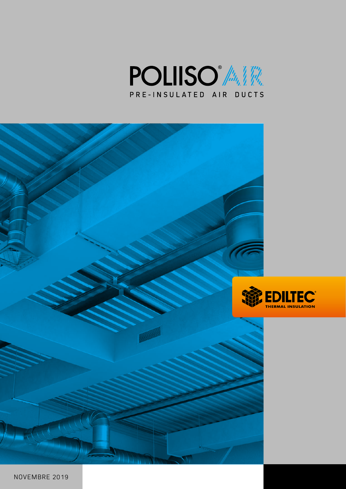



NOVEMBRE 2019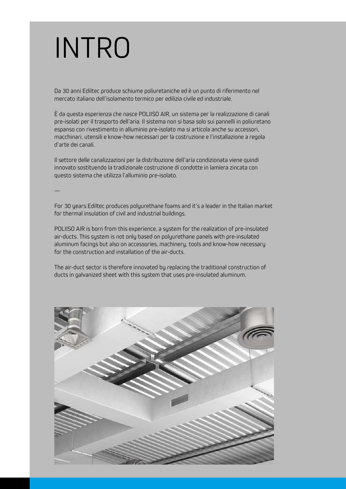# INTRO

Da 30 anni Ediltec produce schiume poliuretaniche ed è un punto di riferimento nel mercato italiano dell'isolamento termico per edilizia civile ed industriale.

È da questa esperienza che nasce POLIISO AIR, un sistema per la realizzazione di canali pre-isolati per il trasporto dell'aria. Il sistema non si basa solo sui pannelli in poliuretano espanso con rivestimento in alluminio pre-isolato ma si articola anche su accessori, macchinari, utensili e know-how necessari per la costruzione e l'installazione a regola d'arte dei canali.

Il settore delle canalizzazioni per la distribuzione dell'aria condizionata viene quindi innovato sostituendo la tradizionale costruzione di condotte in lamiera zincata con questo sistema che utilizza l'alluminio pre-isolato.

—

For 30 years Ediltec produces polyurethane foams and it's a leader in the Italian market for thermal insulation of civil and industrial buildings.

POLIISO AIR is born from this experience, a system for the realization of pre-insulated air-ducts. This system is not only based on polyurethane panels with pre-insulated aluminum facings but also on accessories, machinery, tools and know-how necessary for the construction and installation of the air-ducts.

The air-duct sector is therefore innovated by replacing the traditional construction of ducts in galvanized sheet with this system that uses pre-insulated aluminum.

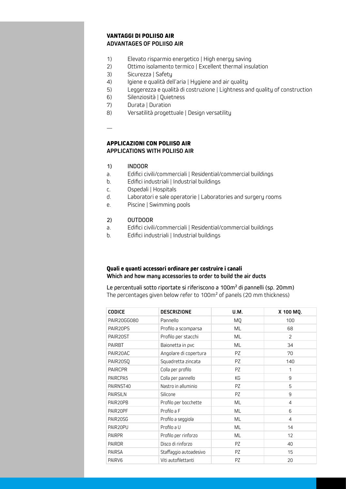### **VANTAGGI DI POLIISO AIR ADVANTAGES OF POLIISO AIR**

- 1) Elevato risparmio energetico | High energy saving
- 2) Ottimo isolamento termico | Excellent thermal insulation
- 3) Sicurezza | Safety
- 4) Igiene e qualità dell'aria | Hygiene and air quality
- 5) Leggerezza e qualità di costruzione | Lightness and quality of construction
- 6) Silenziosità | Quietness
- 7) Durata | Duration
- 8) Versatilità progettuale | Design versatility
- —

### **APPLICAZIONI CON POLIISO AIR APPLICATIONS WITH POLIISO AIR**

- 1) INDOOR
- a. Edifici civili/commerciali | Residential/commercial buildings
- b. Edifici industriali | Industrial buildings
- c. Ospedali | Hospitals
- d. Laboratori e sale operatorie | Laboratories and surgery rooms
- e. Piscine | Swimming pools

#### 2) OUTDOOR

- a. Edifici civili/commerciali | Residential/commercial buildings
- b. Edifici industriali | Industrial buildings

### **Quali e quanti accessori ordinare per costruire i canali Which and how many accessories to order to build the air ducts**

Le percentuali sotto riportate si riferiscono a 100m² di pannelli (sp. 20mm) The percentages given below refer to 100m² of panels (20 mm thickness)

| <b>CODICE</b>      | <b>DESCRIZIONE</b>     | <b>U.M.</b> | X 100 MQ.      |
|--------------------|------------------------|-------------|----------------|
| PAIR20GG080        | Pannello               | <b>MQ</b>   | 100            |
| PAIR20PS           | Profilo a scomparsa    | ML          | 68             |
| PAIR20ST           | Profilo per stacchi    | ML          | 2              |
| <b>PAIRBT</b>      | Baionetta in pvc       | ML          | 34             |
| PAIR20AC           | Angolare di copertura  | PZ.         | 70             |
| PAIR20SQ           | Squadretta zincata     | PZ.         | 140            |
| <b>PAIRCPR</b>     | Colla per profilo      | PZ          | 1              |
| PAIRCPA5           | Colla per pannello     | KG          | 9              |
| PAIRNST40          | Nastro in alluminio    | PZ          | 5              |
| <b>PAIRSILN</b>    | Silicone               | PZ          | 9              |
| PAIR20PB           | Profilo per bocchette  | ML          | $\overline{4}$ |
| PAIR20PF           | Profilo a F            | ML          | 6              |
| PAIR20SG           | Profilo a seggiola     | ML          | $\overline{4}$ |
| PAIR20PU           | Profilo a U            | ML          | 14             |
| <b>PAIRPR</b>      | Profilo per rinforzo   | ML          | 12             |
| <b>PAIRDR</b>      | Disco di rinforzo      | PZ          | 40             |
| <b>PAIRSA</b>      | Staffaggio autoadesivo | PZ          | 15             |
| PAIRV <sub>6</sub> | Viti autofilettanti    | <b>PZ</b>   | 20             |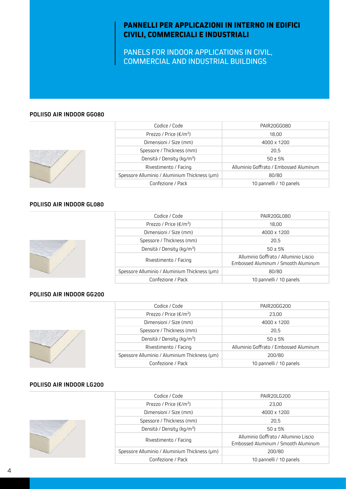# **PANNELLI PER APPLICAZIONI IN INTERNO IN EDIFICI CIVILI, COMMERCIALI E INDUSTRIALI**

PANELS FOR INDOOR APPLICATIONS IN CIVIL, COMMERCIAL AND INDUSTRIAL BUILDINGS

### **POLIISO AIR INDOOR GG080**



| Codice / Code                                 | PAIR20GG080                            |
|-----------------------------------------------|----------------------------------------|
| Prezzo / Price ( $\epsilon/m^2$ )             | 18.00                                  |
| Dimensioni / Size (mm)                        | 4000 x 1200                            |
| Spessore / Thickness (mm)                     | 20.5                                   |
| Densità / Density (kg/m <sup>3</sup> )        | $50 \pm 5%$                            |
| Rivestimento / Facing                         | Alluminio Goffrato / Embossed Aluminum |
| Spessore Alluminio / Aluminium Thickness (um) | 80/80                                  |
| Confezione / Pack                             | 10 pannelli / 10 panels                |

#### **POLIISO AIR INDOOR GL080**



| Codice / Code                                 | PAIR20GL080                                                                  |
|-----------------------------------------------|------------------------------------------------------------------------------|
| Prezzo / Price $(\epsilon/m^2)$               | 18.00                                                                        |
| Dimensioni / Size (mm)                        | 4000 x 1200                                                                  |
| Spessore / Thickness (mm)                     | 20.5                                                                         |
| Densità / Density (kg/m <sup>3</sup> )        | $50 \pm 5%$                                                                  |
| Rivestimento / Facing                         | Alluminio Goffrato / Alluminio Liscio<br>Embossed Aluminum / Smooth Aluminum |
| Spessore Alluminio / Aluminium Thickness (um) | 80/80                                                                        |
| Confezione / Pack                             | 10 pannelli / 10 panels                                                      |

### **POLIISO AIR INDOOR GG200**



| Codice / Code                                 | PAIR20GG200                            |
|-----------------------------------------------|----------------------------------------|
| Prezzo / Price $(\epsilon/m^2)$               | 23.00                                  |
| Dimensioni / Size (mm)                        | 4000 x 1200                            |
| Spessore / Thickness (mm)                     | 20.5                                   |
| Densità / Density (kg/m <sup>3</sup> )        | $50 \pm 5%$                            |
| Rivestimento / Facing                         | Alluminio Goffrato / Embossed Aluminum |
| Spessore Alluminio / Aluminium Thickness (pm) | 200/80                                 |
| Confezione / Pack                             | 10 pannelli / 10 panels                |

### **POLIISO AIR INDOOR LG200**

| Codice / Code                                 | PAIR20LG200                                                                  |
|-----------------------------------------------|------------------------------------------------------------------------------|
| Prezzo / Price $(\epsilon/m^2)$               | 23.00                                                                        |
| Dimensioni / Size (mm)                        | 4000 x 1200                                                                  |
| Spessore / Thickness (mm)                     | 20.5                                                                         |
| Densità / Density (kg/m <sup>3</sup> )        | $50 \pm 5%$                                                                  |
| Rivestimento / Facing                         | Alluminio Goffrato / Alluminio Liscio<br>Embossed Aluminum / Smooth Aluminum |
| Spessore Alluminio / Aluminium Thickness (um) | 200/80                                                                       |
| Confezione / Pack                             | 10 pannelli / 10 panels                                                      |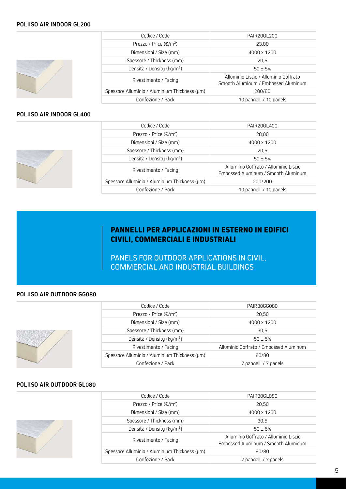### **POLIISO AIR INDOOR GL200**



| Codice / Code                                 | PAIR20GL200                                                                  |
|-----------------------------------------------|------------------------------------------------------------------------------|
| Prezzo / Price ( $\epsilon/m^2$ )             | 23.00                                                                        |
| Dimensioni / Size (mm)                        | 4000 x 1200                                                                  |
| Spessore / Thickness (mm)                     | 20.5                                                                         |
| Densità / Density (kg/m <sup>3</sup> )        | $50 \pm 5%$                                                                  |
| Rivestimento / Facing                         | Alluminio Liscio / Alluminio Goffrato<br>Smooth Aluminum / Embossed Aluminum |
| Spessore Alluminio / Aluminium Thickness (pm) | 200/80                                                                       |
| Confezione / Pack                             | 10 pannelli / 10 panels                                                      |

### **POLIISO AIR INDOOR GL400**



| Codice / Code                                 | PAIR20GL400                                                                  |
|-----------------------------------------------|------------------------------------------------------------------------------|
| Prezzo / Price ( $\epsilon/m^2$ )             | 28.00                                                                        |
| Dimensioni / Size (mm)                        | 4000 x 1200                                                                  |
| Spessore / Thickness (mm)                     | 20.5                                                                         |
| Densità / Density (kg/m <sup>3</sup> )        | $50 \pm 5%$                                                                  |
| Rivestimento / Facing                         | Alluminio Goffrato / Alluminio Liscio<br>Embossed Aluminum / Smooth Aluminum |
| Spessore Alluminio / Aluminium Thickness (um) | 200/200                                                                      |
| Confezione / Pack                             | 10 pannelli / 10 panels                                                      |

# **PANNELLI PER APPLICAZIONI IN ESTERNO IN EDIFICI CIVILI, COMMERCIALI E INDUSTRIALI**

PANELS FOR OUTDOOR APPLICATIONS IN CIVIL, COMMERCIAL AND INDUSTRIAL BUILDINGS

### **POLIISO AIR OUTDOOR GG080**



| Codice / Code                                 | PAIR30GG080                            |
|-----------------------------------------------|----------------------------------------|
| Prezzo / Price $(\epsilon/m^2)$               | 20.50                                  |
| Dimensioni / Size (mm)                        | 4000 x 1200                            |
| Spessore / Thickness (mm)                     | 30.5                                   |
| Densità / Density (kg/m <sup>3</sup> )        | $50 \pm 5%$                            |
| Rivestimento / Facing                         | Alluminio Goffrato / Embossed Aluminum |
| Spessore Alluminio / Aluminium Thickness (pm) | 80/80                                  |
| Confezione / Pack                             | 7 pannelli / 7 panels                  |

### **POLIISO AIR OUTDOOR GL080**



| Codice / Code                                 | PAIR30GL080                                                                  |
|-----------------------------------------------|------------------------------------------------------------------------------|
| Prezzo / Price ( $\epsilon/m^2$ )             | 20,50                                                                        |
| Dimensioni / Size (mm)                        | 4000 x 1200                                                                  |
| Spessore / Thickness (mm)                     | 30.5                                                                         |
| Densità / Density (kg/m <sup>3</sup> )        | $50 \pm 5%$                                                                  |
| Rivestimento / Facing                         | Alluminio Goffrato / Alluminio Liscio<br>Embossed Aluminum / Smooth Aluminum |
| Spessore Alluminio / Aluminium Thickness (um) | 80/80                                                                        |
| Confezione / Pack                             | 7 pannelli / 7 panels                                                        |
|                                               |                                                                              |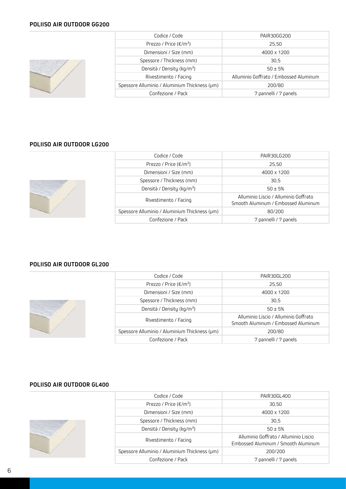### **POLIISO AIR OUTDOOR GG200**



| Codice / Code                                 | PAIR30GG200                            |
|-----------------------------------------------|----------------------------------------|
| Prezzo / Price $(\epsilon/m^2)$               | 25.50                                  |
| Dimensioni / Size (mm)                        | 4000 x 1200                            |
| Spessore / Thickness (mm)                     | 30.5                                   |
| Densità / Density (kg/m <sup>3</sup> )        | $50 \pm 5%$                            |
| Rivestimento / Facing                         | Alluminio Goffrato / Embossed Aluminum |
| Spessore Alluminio / Aluminium Thickness (pm) | 200/80                                 |
| Confezione / Pack                             | 7 pannelli / 7 panels                  |

### **POLIISO AIR OUTDOOR LG200**

| Codice / Code                                 | PAIR30LG200                                                                  |
|-----------------------------------------------|------------------------------------------------------------------------------|
| Prezzo / Price $(\epsilon/m^2)$               | 25.50                                                                        |
| Dimensioni / Size (mm)                        | 4000 x 1200                                                                  |
| Spessore / Thickness (mm)                     | 30.5                                                                         |
| Densità / Density (kg/m <sup>3</sup> )        | $50 \pm 5%$                                                                  |
| Rivestimento / Facing                         | Alluminio Liscio / Alluminio Goffrato<br>Smooth Aluminum / Embossed Aluminum |
| Spessore Alluminio / Aluminium Thickness (pm) | 80/200                                                                       |
| Confezione / Pack                             | 7 pannelli / 7 panels                                                        |
|                                               |                                                                              |

### **POLIISO AIR OUTDOOR GL200**



|  | Codice / Code                                 | PAIR30GL200                                                                  |
|--|-----------------------------------------------|------------------------------------------------------------------------------|
|  | Prezzo / Price ( $\epsilon/m^2$ )             | 25,50                                                                        |
|  | Dimensioni / Size (mm)                        | 4000 x 1200                                                                  |
|  | Spessore / Thickness (mm)                     | 30.5                                                                         |
|  | Densità / Density (kg/m <sup>3</sup> )        | $50 \pm 5%$                                                                  |
|  | Rivestimento / Facing                         | Alluminio Liscio / Alluminio Goffrato<br>Smooth Aluminum / Embossed Aluminum |
|  | Spessore Alluminio / Aluminium Thickness (um) | 200/80                                                                       |
|  | Confezione / Pack                             | 7 pannelli / 7 panels                                                        |

### **POLIISO AIR OUTDOOR GL400**

|  | Codice / Code                                 | PAIR30GL400                                                                  |
|--|-----------------------------------------------|------------------------------------------------------------------------------|
|  | Prezzo / Price ( $\epsilon/m^2$ )             | 30.50                                                                        |
|  | Dimensioni / Size (mm)                        | 4000 x 1200                                                                  |
|  | Spessore / Thickness (mm)                     | 30.5                                                                         |
|  | Densità / Density (kg/m <sup>3</sup> )        | $50 \pm 5%$                                                                  |
|  | Rivestimento / Facing                         | Alluminio Goffrato / Alluminio Liscio<br>Embossed Aluminum / Smooth Aluminum |
|  | Spessore Alluminio / Aluminium Thickness (um) | 200/200                                                                      |
|  | Confezione / Pack                             | 7 pannelli / 7 panels                                                        |
|  |                                               |                                                                              |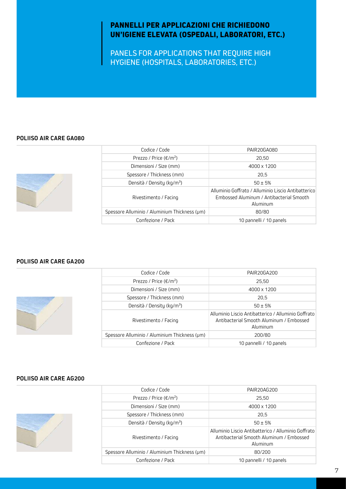# **PANNELLI PER APPLICAZIONI CHE RICHIEDONO UN'IGIENE ELEVATA (OSPEDALI, LABORATORI, ETC.)**

PANELS FOR APPLICATIONS THAT REQUIRE HIGH HYGIENE (HOSPITALS, LABORATORIES, ETC.)

### **POLIISO AIR CARE GA080**



| Codice / Code                                 | PAIR20GA080                                                                                                 |  |
|-----------------------------------------------|-------------------------------------------------------------------------------------------------------------|--|
| Prezzo / Price ( $\epsilon/m^2$ )             | 20,50                                                                                                       |  |
| Dimensioni / Size (mm)                        | 4000 x 1200                                                                                                 |  |
| Spessore / Thickness (mm)                     | 20.5                                                                                                        |  |
| Densità / Density (kg/m <sup>3</sup> )        | $50 \pm 5%$                                                                                                 |  |
| Rivestimento / Facing                         | Alluminio Goffrato / Alluminio Liscio Antibatterico<br>Embossed Aluminum / Antibacterial Smooth<br>Aluminum |  |
| Spessore Alluminio / Aluminium Thickness (um) | 80/80                                                                                                       |  |
| Confezione / Pack                             | 10 pannelli / 10 panels                                                                                     |  |

### **POLIISO AIR CARE GA200**



| Codice / Code                                 | PAIR20GA200                                                                                                 |  |
|-----------------------------------------------|-------------------------------------------------------------------------------------------------------------|--|
| Prezzo / Price ( $\epsilon/m^2$ )             | 25.50                                                                                                       |  |
| Dimensioni / Size (mm)                        | 4000 x 1200                                                                                                 |  |
| Spessore / Thickness (mm)                     | 20.5                                                                                                        |  |
| Densità / Density (kg/m <sup>3</sup> )        | $50 \pm 5%$                                                                                                 |  |
| Rivestimento / Facing                         | Alluminio Liscio Antibatterico / Alluminio Goffrato<br>Antibacterial Smooth Aluminum / Embossed<br>Aluminum |  |
| Spessore Alluminio / Aluminium Thickness (um) | 200/80                                                                                                      |  |
| Confezione / Pack                             | 10 pannelli / 10 panels                                                                                     |  |
|                                               |                                                                                                             |  |

### **POLIISO AIR CARE AG200**



| Codice / Code                                 | PAIR20AG200                                                                                                 |
|-----------------------------------------------|-------------------------------------------------------------------------------------------------------------|
| Prezzo / Price ( $\epsilon/m^2$ )             | 25,50                                                                                                       |
| Dimensioni / Size (mm)                        | 4000 x 1200                                                                                                 |
| Spessore / Thickness (mm)                     | 20,5                                                                                                        |
| Densità / Density (kg/m <sup>3</sup> )        | $50 \pm 5%$                                                                                                 |
| Rivestimento / Facing                         | Alluminio Liscio Antibatterico / Alluminio Goffrato<br>Antibacterial Smooth Aluminum / Embossed<br>Aluminum |
| Spessore Alluminio / Aluminium Thickness (um) | 80/200                                                                                                      |
| Confezione / Pack                             | 10 pannelli / 10 panels                                                                                     |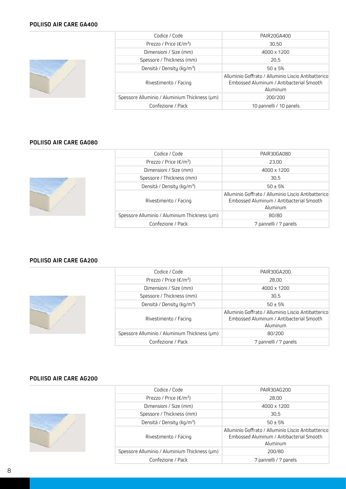### **POLIISO AIR CARE GA400**



|                                                             | Codice / Code                                 | PAIR20GA400                                                                                                 |  |
|-------------------------------------------------------------|-----------------------------------------------|-------------------------------------------------------------------------------------------------------------|--|
| Prezzo / Price ( $\epsilon/m^2$ )<br>Dimensioni / Size (mm) |                                               | 30,50                                                                                                       |  |
|                                                             |                                               | 4000 x 1200                                                                                                 |  |
|                                                             | Spessore / Thickness (mm)                     | 20.5                                                                                                        |  |
| Densità / Density (kg/m <sup>3</sup> )                      |                                               | $50 \pm 5%$                                                                                                 |  |
| Rivestimento / Facing                                       |                                               | Alluminio Goffrato / Alluminio Liscio Antibatterico<br>Embossed Aluminum / Antibacterial Smooth<br>Aluminum |  |
|                                                             | Spessore Alluminio / Aluminium Thickness (pm) | 200/200                                                                                                     |  |
|                                                             | Confezione / Pack                             | 10 pannelli / 10 panels                                                                                     |  |
|                                                             |                                               |                                                                                                             |  |

### **POLIISO AIR CARE GA080**

| Snessr |
|--------|

| Codice / Code                                 | PAIR30GA080                                                                                                 |
|-----------------------------------------------|-------------------------------------------------------------------------------------------------------------|
| Prezzo / Price ( $\epsilon/m^2$ )             | 23.00                                                                                                       |
| Dimensioni / Size (mm)                        | 4000 x 1200                                                                                                 |
| Spessore / Thickness (mm)                     | 30.5                                                                                                        |
| Densità / Density (kg/m <sup>3</sup> )        | $50 \pm 5%$                                                                                                 |
| Rivestimento / Facing                         | Alluminio Goffrato / Alluminio Liscio Antibatterico<br>Embossed Aluminum / Antibacterial Smooth<br>Aluminum |
| Spessore Alluminio / Aluminium Thickness (um) | 80/80                                                                                                       |
| Confezione / Pack                             | 7 pannelli / 7 panels                                                                                       |

### **POLIISO AIR CARE GA200**



| Codice / Code                                 | PAIR30GA200                                                                                                 |
|-----------------------------------------------|-------------------------------------------------------------------------------------------------------------|
| Prezzo / Price ( $\epsilon/m^2$ )             | 28.00                                                                                                       |
| Dimensioni / Size (mm)                        | 4000 x 1200                                                                                                 |
| Spessore / Thickness (mm)                     | 30.5                                                                                                        |
| Densità / Density (kg/m <sup>3</sup> )        | $50 \pm 5%$                                                                                                 |
| Rivestimento / Facing                         | Alluminio Goffrato / Alluminio Liscio Antibatterico<br>Embossed Aluminum / Antibacterial Smooth<br>Aluminum |
| Spessore Alluminio / Aluminium Thickness (um) | 80/200                                                                                                      |
| Confezione / Pack                             | 7 pannelli / 7 panels                                                                                       |
|                                               |                                                                                                             |

### **POLIISO AIR CARE AG200**

|  | Codice / Code                                 | PAIR30AG200                                                                                                 |
|--|-----------------------------------------------|-------------------------------------------------------------------------------------------------------------|
|  | Prezzo / Price $(\epsilon/m^2)$               | 28.00                                                                                                       |
|  | Dimensioni / Size (mm)                        | 4000 x 1200                                                                                                 |
|  | Spessore / Thickness (mm)                     | 30,5                                                                                                        |
|  | Densità / Density (kg/m <sup>3</sup> )        | $50 \pm 5%$                                                                                                 |
|  | Rivestimento / Facing                         | Alluminio Goffrato / Alluminio Liscio Antibatterico<br>Embossed Aluminum / Antibacterial Smooth<br>Aluminum |
|  | Spessore Alluminio / Aluminium Thickness (µm) | 200/80                                                                                                      |
|  | Confezione / Pack                             | 7 pannelli / 7 panels                                                                                       |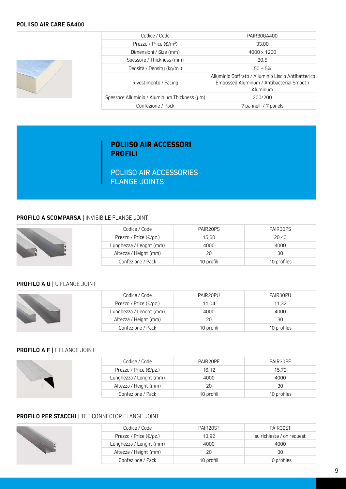### **POLIISO AIR CARE GA400**



| Codice / Code                                 | PAIR30GA400                                                                                                 |  |
|-----------------------------------------------|-------------------------------------------------------------------------------------------------------------|--|
| Prezzo / Price ( $\epsilon/m^2$ )             | 33.00                                                                                                       |  |
| Dimensioni / Size (mm)                        | 4000 x 1200                                                                                                 |  |
| Spessore / Thickness (mm)                     | 30,5                                                                                                        |  |
| Densità / Density (kg/m <sup>3</sup> )        | $50 \pm 5%$                                                                                                 |  |
| Rivestimento / Facing                         | Alluminio Goffrato / Alluminio Liscio Antibatterico<br>Embossed Aluminum / Antibacterial Smooth<br>Aluminum |  |
| Spessore Alluminio / Aluminium Thickness (um) | 200/200                                                                                                     |  |
| Confezione / Pack                             | 7 pannelli / 7 panels                                                                                       |  |

# **POLIISO AIR ACCESSORI PROFILI**

POLIISO AIR ACCESSORIES FLANGE JOINTS

### **PROFILO A SCOMPARSA |** INVISIBILE FLANGE JOINT

|  | Codice / Code                     | PAIR20PS   | PAIR30PS    |
|--|-----------------------------------|------------|-------------|
|  | Prezzo / Price ( $\epsilon$ /pz.) | 15.60      | 20.40       |
|  | Lunghezza / Lenght (mm)           | 4000       | 4000        |
|  |                                   |            |             |
|  | Altezza / Height (mm)             | 20         | 30          |
|  | Confezione / Pack                 | 10 profili | 10 profiles |

### **PROFILO A U |** U FLANGE JOINT

|  | Codice / Code           | PAIR20PU   | PAIR30PU    |
|--|-------------------------|------------|-------------|
|  | Prezzo / Price (€/pz.)  | 11.04      | 11.32       |
|  | Lunghezza / Lenght (mm) | 4000       | 4000        |
|  | Altezza / Height (mm)   | 20         | 30          |
|  | Confezione / Pack       | 10 profili | 10 profiles |

### **PROFILO A F |** F FLANGE JOINT

|  | Codice / Code           | PAIR20PF   | PAIR30PF    |
|--|-------------------------|------------|-------------|
|  | Prezzo / Price (€/pz.)  | 16,12      | 15.72       |
|  | Lunghezza / Lenght (mm) | 4000       | 4000        |
|  | Altezza / Height (mm)   | 20         | 30          |
|  | Confezione / Pack       | 10 profili | 10 profiles |

### **PROFILO PER STACCHI |** TEE CONNECTOR FLANGE JOINT

| Codice / Code                     | PAIR <sub>20ST</sub> | PAIR30ST                  |  |
|-----------------------------------|----------------------|---------------------------|--|
| Prezzo / Price ( $\epsilon$ /pz.) | 13.92                | su richiesta / on request |  |
| Lunghezza / Lenght (mm)           | 4000                 | 4000                      |  |
| Altezza / Height (mm)             | 20                   | 30                        |  |
| Confezione / Pack                 | 10 profili           | 10 profiles               |  |
|                                   |                      |                           |  |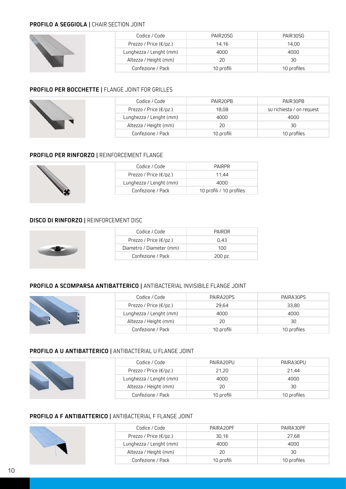### **PROFILO A SEGGIOLA |** CHAIR SECTION JOINT

|  | Codice / Code           | PAIR20SG   | PAIR30SG    |
|--|-------------------------|------------|-------------|
|  | Prezzo / Price (€/pz.)  | 14,16      | 14.00       |
|  | Lunghezza / Lenght (mm) | 4000       | 4000        |
|  | Altezza / Height (mm)   | 20         | 30          |
|  | Confezione / Pack       | 10 profili | 10 profiles |

### **PROFILO PER BOCCHETTE |** FLANGE JOINT FOR GRILLES

|  | Codice / Code           | PAIR20PB   | PAIR30PB                  |
|--|-------------------------|------------|---------------------------|
|  | Prezzo / Price (€/pz.)  | 18,08      | su richiesta / on request |
|  | Lunghezza / Lenght (mm) | 4000       | 4000                      |
|  | Altezza / Height (mm)   | 20         | 30                        |
|  | Confezione / Pack       | 10 profili | 10 profiles               |

### **PROFILO PER RINFORZO |** REINFORCEMENT FLANGE

|  | Codice / Code                     | <b>PAIRPR</b>            |
|--|-----------------------------------|--------------------------|
|  | Prezzo / Price ( $\epsilon$ /pz.) | 11.44                    |
|  | Lunghezza / Lenght (mm)           | 4000                     |
|  | Confezione / Pack                 | 10 profili / 10 profiles |

### **DISCO DI RINFORZO |** REINFORCEMENT DISC

| Codice / Code                     | PAIRDR  |
|-----------------------------------|---------|
| Prezzo / Price ( $\epsilon$ /pz.) | 0.43    |
| Diametro / Diameter (mm)          | 100     |
| Confezione / Pack                 | 200 pz. |

### **PROFILO A SCOMPARSA ANTIBATTERICO |** ANTIBACTERIAL INVISIBILE FLANGE JOINT

| Codice / Code           | PAIRA20PS  | PAIRA30PS   |
|-------------------------|------------|-------------|
| Prezzo / Price (€/pz.)  | 29.64      | 33,80       |
| Lunghezza / Lenght (mm) | 4000       | 4000        |
| Altezza / Height (mm)   | 20         | 30          |
| Confezione / Pack       | 10 profili | 10 profiles |

### **PROFILO A U ANTIBATTERICO |** ANTIBACTERIAL U FLANGE JOINT

|  | Codice / Code           | PAIRA20PU  | PAIRA30PU   |
|--|-------------------------|------------|-------------|
|  | Prezzo / Price (€/pz.)  | 21,20      | 21,44       |
|  | Lunghezza / Lenght (mm) | 4000       | 4000        |
|  | Altezza / Height (mm)   | 20         | 30          |
|  | Confezione / Pack       | 10 profili | 10 profiles |

### **PROFILO A F ANTIBATTERICO |** ANTIBACTERIAL F FLANGE JOINT

|  | Codice / Code           | PAIRA20PF  | PAIRA30PF   |
|--|-------------------------|------------|-------------|
|  | Prezzo / Price (€/pz.)  | 30,16      | 27,68       |
|  | Lunghezza / Lenght (mm) | 4000       | 4000        |
|  | Altezza / Height (mm)   | 20         | 30          |
|  | Confezione / Pack       | 10 profili | 10 profiles |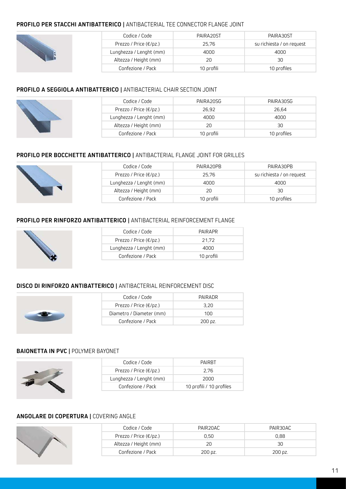### **PROFILO PER STACCHI ANTIBATTERICO |** ANTIBACTERIAL TEE CONNECTOR FLANGE JOINT

|  | Codice / Code           | PAIRA20ST  | PAIRA30ST                 |
|--|-------------------------|------------|---------------------------|
|  | Prezzo / Price (€/pz.)  | 25,76      | su richiesta / on request |
|  | Lunghezza / Lenght (mm) | 4000       | 4000                      |
|  | Altezza / Height (mm)   | 20         | 30                        |
|  | Confezione / Pack       | 10 profili | 10 profiles               |

### **PROFILO A SEGGIOLA ANTIBATTERICO |** ANTIBACTERIAL CHAIR SECTION JOINT



| Codice / Code                     | PAIRA20SG  | PAIRA30SG   |
|-----------------------------------|------------|-------------|
| Prezzo / Price ( $\epsilon$ /pz.) | 26.92      | 26.64       |
| Lunghezza / Lenght (mm)           | 4000       | 4000        |
| Altezza / Height (mm)             | 20         | 30          |
| Confezione / Pack                 | 10 profili | 10 profiles |

### **PROFILO PER BOCCHETTE ANTIBATTERICO |** ANTIBACTERIAL FLANGE JOINT FOR GRILLES

|  | Codice / Code                     | PAIRA20PB  | PAIRA30PB                 |
|--|-----------------------------------|------------|---------------------------|
|  | Prezzo / Price ( $\epsilon$ /pz.) | 25,76      | su richiesta / on request |
|  | Lunghezza / Lenght (mm)           | 4000       | 4000                      |
|  | Altezza / Height (mm)             | 20         | 30                        |
|  | Confezione / Pack                 | 10 orofili | 10 profiles               |

### **PROFILO PER RINFORZO ANTIBATTERICO |** ANTIBACTERIAL REINFORCEMENT FLANGE



| Codice / Code                      | PAIRAPR    |
|------------------------------------|------------|
| Prezzo / Price $(\epsilon/\rho z)$ | 21.72      |
| Lunghezza / Lenght (mm)            | 4000       |
| Confezione / Pack                  | 10 profili |

### **DISCO DI RINFORZO ANTIBATTERICO |** ANTIBACTERIAL REINFORCEMENT DISC



| Codice / Code                      | PAIRADR               |
|------------------------------------|-----------------------|
| Prezzo / Price $(\epsilon/\rho z)$ | 3.20                  |
| Diametro / Diameter (mm)           | 100                   |
| Confezione / Pack                  | $200 \,\mathrm{pz}$ . |

### **BAIONETTA IN PVC |** POLYMER BAYONET

| Codice / Code                      | <b>PAIRRT</b>            |
|------------------------------------|--------------------------|
| Prezzo / Price $(\epsilon/\rho z)$ | 2.76                     |
| Lunghezza / Lenght (mm)            | 2000                     |
| Confezione / Pack                  | 10 profili / 10 profiles |
|                                    |                          |

### **ANGOLARE DI COPERTURA |** COVERING ANGLE

| Codice / Code                      | PAIR20AC           | PAIR30AC |
|------------------------------------|--------------------|----------|
| Prezzo / Price $(\epsilon/\rho z)$ | 0.50               | 0.88     |
| Altezza / Height (mm)              | 20                 | 30       |
| Confezione / Pack                  | $200 \text{ pz}$ . | 200 pz.  |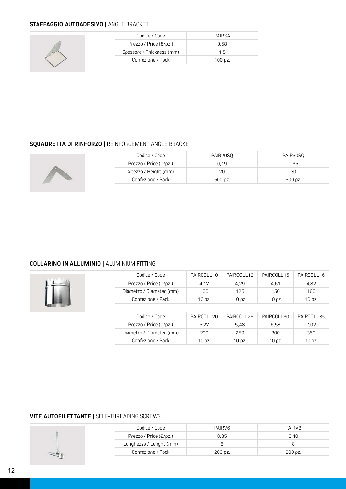## **STAFFAGGIO AUTOADESIVO |** ANGLE BRACKET



| Codice / Code                      | PAIRSA        |
|------------------------------------|---------------|
| Prezzo / Price $(\epsilon/\rho z)$ | 0.58          |
| Spessore / Thickness (mm)          | 1.5           |
| Confezione / Pack                  | 100 $\rho$ z. |

### **SQUADRETTA DI RINFORZO |** REINFORCEMENT ANGLE BRACKET



| Codice / Code                     | PAIR20SO | PAIR30SO              |
|-----------------------------------|----------|-----------------------|
| Prezzo / Price ( $\epsilon$ /pz.) | 0.19     | 0.35                  |
| Altezza / Height (mm)             | 20       | 30                    |
| Confezione / Pack                 | 500 pz.  | $500 \,\mathrm{pz}$ . |

### **COLLARINO IN ALLUMINIO |** ALUMINIUM FITTING



| Codice / Code                      | PAIRCOLL10 | PAIRCOLL 12 | PAIRCOLL15 | PAIRCOLL16 |
|------------------------------------|------------|-------------|------------|------------|
| Prezzo / Price $(\epsilon/\rho z)$ | 4.17       | 4.29        | 4.61       | 4.82       |
| Diametro / Diameter (mm)           | 100        | 125         | 150        | 160        |
| Confezione / Pack                  | 10 pz.     | 10 pz.      | 10 pz.     | 10 pz.     |

| Codice / Code                      | PAIRCOLL20 | PAIRCOLL <sub>25</sub> | PAIRCOLL30 | PAIRCOLL35 |
|------------------------------------|------------|------------------------|------------|------------|
| Prezzo / Price $(\epsilon/\rho z)$ | 5.27       | 5.48                   | 6.58       | 7.02       |
| Diametro / Diameter (mm)           | 200        | 250                    | 300        | 350.       |
| Confezione / Pack                  | 10 pz.     | 10 pz.                 | 10 pz.     | 10 pz.     |

### **VITE AUTOFILETTANTE |** SELF-THREADING SCREWS

| Codice / Code                     | PAIRV <sub>6</sub> | PAIRV8  |
|-----------------------------------|--------------------|---------|
| Prezzo / Price ( $\epsilon$ /pz.) | 0.35               | 0.40    |
| Lunghezza / Lenght (mm)           |                    |         |
| Confezione / Pack                 | 200 pz.            | 200 pz. |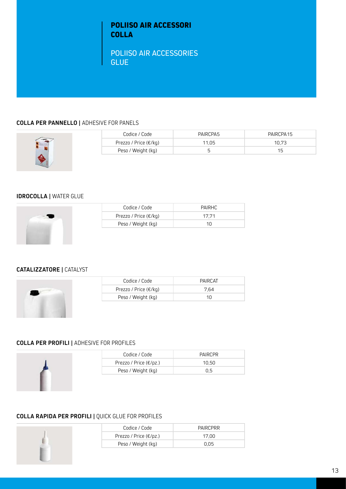# **POLIISO AIR ACCESSORI COLLA**

POLIISO AIR ACCESSORIES **GLUE** 

### **COLLA PER PANNELLO |** ADHESIVE FOR PANELS



| Codice / Code                    | PAIRCPA5 | PAIRCPA15 |
|----------------------------------|----------|-----------|
| Prezzo / Price ( $\epsilon$ /kg) | 11.05    | 10.73     |
| Peso / Weight (kg)               | ∽        | 15        |

### **IDROCOLLA |** WATER GLUE



| Codice / Code                    | PAIRHC |
|----------------------------------|--------|
| Prezzo / Price ( $\epsilon$ /kg) | 17.71  |
| Peso / Weight (kg)               | 1N     |

### **CATALIZZATORE |** CATALYST



| Codice / Code                    | PAIRCAT |
|----------------------------------|---------|
| Prezzo / Price ( $\epsilon$ /kg) | 7.64    |
| Peso / Weight (kg)               | 1N      |

### **COLLA PER PROFILI |** ADHESIVE FOR PROFILES



| Codice / Code<br><b>PAIRCPR</b><br>Prezzo / Price ( $\epsilon$ /pz.)<br>10.50 |  |
|-------------------------------------------------------------------------------|--|
|                                                                               |  |
|                                                                               |  |
| Peso / Weight (kg)<br>0.5                                                     |  |

### **COLLA RAPIDA PER PROFILI |** QUICK GLUE FOR PROFILES

| Codice / Code                      | PAIRCPRR |
|------------------------------------|----------|
| Prezzo / Price $(\epsilon/\rho z)$ | 17.00    |
| Peso / Weight (kg)                 | 0.05     |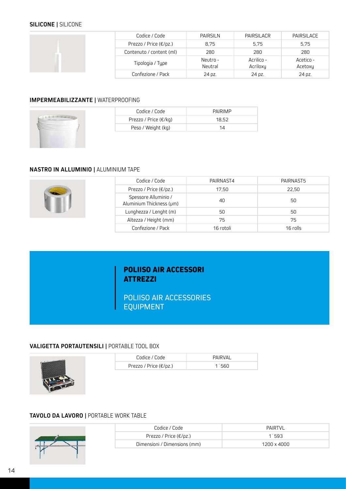### **SILICONE |** SILICONE

|  | Codice / Code            | <b>PAIRSILN</b> | PAIRSILACR | PAIRSILACE |
|--|--------------------------|-----------------|------------|------------|
|  | Prezzo / Price (€/pz.)   | 8.75            | 5.75       | 5,75       |
|  | Contenuto / content (ml) | 280             | 280        | 280        |
|  | Tipologia / Type         | Neutro -        | Acrilico - | Acetico -  |
|  |                          | Neutral         | Acriloxy   | Acetoxy    |
|  | Confezione / Pack        | 24 pz.          | 24 pz.     | 24 pz.     |

### **IMPERMEABILIZZANTE |** WATERPROOFING



| Codice / Code                    | <b>PAIRIMP</b> |
|----------------------------------|----------------|
| Prezzo / Price ( $\epsilon$ /kg) | 18.52          |
| Peso / Weight (kg)               | 14             |
|                                  |                |

### **NASTRO IN ALLUMINIO |** ALUMINIUM TAPE



| Codice / Code                                    | PAIRNAST4 | PAIRNAST5 |
|--------------------------------------------------|-----------|-----------|
| Prezzo / Price $(\epsilon/\rho z)$               | 17.50     | 22,50     |
| Spessore Alluminio /<br>Aluminium Thickness (µm) | 40        | 50        |
| Lunghezza / Lenght (m)                           | 50        | 50        |
| Altezza / Height (mm)                            | 75        | 75        |
| Confezione / Pack                                | 16 rotoli | 16 rolls  |

# **POLIISO AIR ACCESSORI ATTREZZI**

POLIISO AIR ACCESSORIES EQUIPMENT

### **VALIGETTA PORTAUTENSILI |** PORTABLE TOOL BOX



| Codice / Code                     | PAIRVAL |
|-----------------------------------|---------|
| Prezzo / Price ( $\epsilon$ /pz.) | 1.560   |

### **TAVOLO DA LAVORO |** PORTABLE WORK TABLE



| Codice / Code                     | PAIRTVL     |
|-----------------------------------|-------------|
| Prezzo / Price ( $\epsilon$ /pz.) | 1.593       |
| Dimensioni / Dimensions (mm)      | 1200 x 4000 |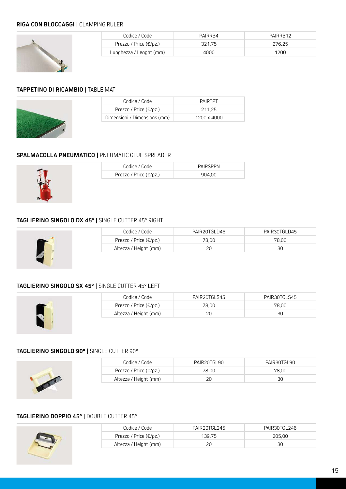### **RIGA CON BLOCCAGGI |** CLAMPING RULER



| Codice / Code                      | PAIRRR4 | PAIRRR12 |
|------------------------------------|---------|----------|
| Prezzo / Price $(\epsilon/\rho z)$ | 321.75  | 276.25   |
| Lunghezza / Lenght (mm)            | 4000    | 1200     |

### **TAPPETINO DI RICAMBIO |** TABLE MAT



| Codice / Code                      | PAIRTPT     |
|------------------------------------|-------------|
| Prezzo / Price $(\epsilon/\rho z)$ | 211.25      |
| Dimensioni / Dimensions (mm)       | 1200 x 4000 |

### **SPALMACOLLA PNEUMATICO |** PNEUMATIC GLUE SPREADER



| Codice / Code                      | <b>PAIRSPPN</b> |
|------------------------------------|-----------------|
| Prezzo / Price $(\epsilon/\rho z)$ | 904.00          |

### **TAGLIERINO SINGOLO DX 45° |** SINGLE CUTTER 45° RIGHT



| Codice / Code                     | PAIR20TGLD45 | PAIR30TGLD45 |
|-----------------------------------|--------------|--------------|
| Prezzo / Price ( $\epsilon$ /pz.) | 78.00        | 78.00        |
| Altezza / Height (mm)             | ח?           | 30           |

### **TAGLIERINO SINGOLO SX 45° |** SINGLE CUTTER 45° LEFT



| Codice / Code                     | PAIR20TGLS45 | PAIR30TGLS45 |
|-----------------------------------|--------------|--------------|
| Prezzo / Price ( $\epsilon$ /pz.) | 78.00        | 78.00        |
| Altezza / Height (mm)             | 20           | 30           |

# **TAGLIERINO SINGOLO 90° |** SINGLE CUTTER 90°



| Codice / Code                      | PAIR20TGL90 | PAIR30TGL90 |
|------------------------------------|-------------|-------------|
| Prezzo / Price $(\epsilon/\rho z)$ | 78.00       | 78.00       |
| Altezza / Height (mm)              | 20          | 30          |

### **TAGLIERINO DOPPIO 45° |** DOUBLE CUTTER 45°

| Codice / Code                     | PAIR20TGL245 | PAIR30TGL246 |
|-----------------------------------|--------------|--------------|
| Prezzo / Price ( $\epsilon$ /pz.) | 139.75       | 205.00       |
| Altezza / Height (mm)             |              | 30           |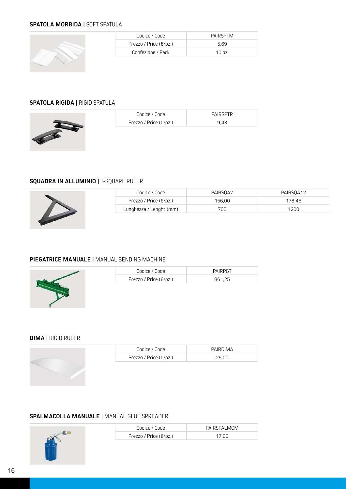### **SPATOLA MORBIDA |** SOFT SPATULA



| Codice / Code                     | PAIRSPTM |
|-----------------------------------|----------|
| Prezzo / Price ( $\epsilon$ /pz.) | 5.69     |
| Confezione / Pack                 | 10 pz.   |

### **SPATOLA RIGIDA |** RIGID SPATULA



| Codice / Code                      | <b>PAIRSPTR</b> |
|------------------------------------|-----------------|
| Prezzo / Price $(\epsilon/\rho z)$ | 9.43            |

### **SQUADRA IN ALLUMINIO |** T-SQUARE RULER



| Codice / Code                     | PAIRSOA7 | PAIRSOA12 |
|-----------------------------------|----------|-----------|
| Prezzo / Price ( $\epsilon$ /pz.) | 156.00   | 178.45    |
| Lunghezza / Lenght (mm)           | 700      | 1200      |

### **PIEGATRICE MANUALE |** MANUAL BENDING MACHINE



| Codice / Code                      | <b>PAIRPGT</b> |
|------------------------------------|----------------|
| Prezzo / Price $(\epsilon/\rho z)$ | 861.25         |

### **DIMA |** RIGID RULER

| Codice / Code                     | PAIRDIMA |
|-----------------------------------|----------|
| Prezzo / Price ( $\epsilon$ /pz.) | 25.00    |

### **SPALMACOLLA MANUALE |** MANUAL GLUE SPREADER

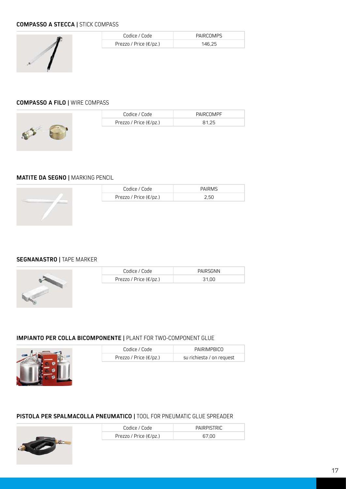### **COMPASSO A STECCA |** STICK COMPASS



| Codice / Code                     | PAIRCOMPS |
|-----------------------------------|-----------|
| Prezzo / Price ( $\epsilon$ /pz.) | 146.25    |

### **COMPASSO A FILO |** WIRE COMPASS



| Codice / Code                     | PAIRCOMPF |
|-----------------------------------|-----------|
| Prezzo / Price ( $\epsilon$ /pz.) | 81.25     |
|                                   |           |

### **MATITE DA SEGNO |** MARKING PENCIL

| Codice / Code                      | <b>PAIRMS</b> |
|------------------------------------|---------------|
| Prezzo / Price $(\epsilon/\rho z)$ | 2.50          |

### **SEGNANASTRO |** TAPE MARKER



| Codice / Code                     | PAIRSGNN |
|-----------------------------------|----------|
| Prezzo / Price ( $\epsilon$ /pz.) | 31.00    |

### **IMPIANTO PER COLLA BICOMPONENTE |** PLANT FOR TWO-COMPONENT GLUE



| Codice / Code                     | PAIRIMPBICO               |
|-----------------------------------|---------------------------|
| Prezzo / Price ( $\epsilon$ /pz.) | su richiesta / on request |

### **PISTOLA PER SPALMACOLLA PNEUMATICO |** TOOL FOR PNEUMATIC GLUE SPREADER

| Codice / Code                     | PAIRPISTRIC |
|-----------------------------------|-------------|
| Prezzo / Price ( $\epsilon$ /pz.) | 67.00       |

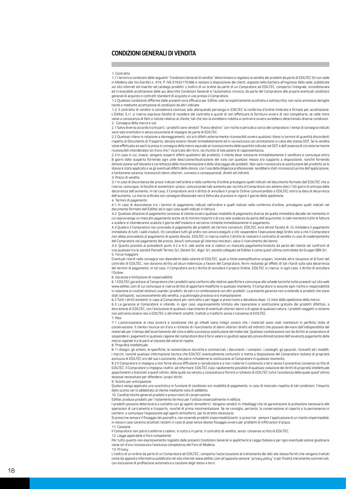#### **CONDIZIONI GENERALI DI VENDITA**

#### 1. Contratto

1.1 I termini e condizioni delle seguenti "Condizioni Generali di vendita" determinano e regolano la vendita dei prodotti da parte di EDILTEC Srl con sede in Modena alla Via Giardini n. 474, P. IVA 01932170366 e restano a disposizione dei clienti, esposte nella bacheca all'ingresso della sede, pubblicate sul sito internet ed inserite nel catalogo prodotti. L'inoltro di un ordine da parte di un Compratore ad EDILTEC, comporta l'integrale, incondizionata ed irrevocabile accettazione delle qui descritte Condizioni Generali e l'automatica rinuncia, da parte del Compratore alle proprie eventuali condizioni generali di acquisto o contratti standard di acquisto in uso presso il Compratore.

1.2 Qualsiasi condizione difforme dalle presenti avrà efficacia per Ediltec solo se esplicitamente accettata e sottoscritta; non sono ammesse deroghe tacite o mediante accettazione di condizioni da altri indicate.

1.3. Il contratto di vendita si considererà concluso solo allorquando pervenga in EDILTEC la conferma d'ordine timbrata e firmata per accettazione. L'Ediltec S.r.l. si riserva espressa facoltà di recedere dal contratto e quindi di non effettuare la fornitura ovvero di non completarla, se nelle more viene a conoscenza di fatti o notizie relative al cliente, tali che non la avrebbero indotta a contrarre ovvero avrebbero determinato diverse condizioni. 2. Consegna della merce e vizi

2.1 Salvo diverso accordo tra le parti, i prodotti sono venduti "franco destino" con rischio e pericolo a carico del compratore; I tempi di consegna indicati sono solo orientativi e senza assunzione di impegno da parte di EDILTEC.

2.2 Qualsiasi rilievo in relazione a danneggiamenti, vizi e/o difetti esteriormente riconoscibili ovvero qualsiasi rilievo in termini di quantità discordanti rispetto al Documento di Trasporto, devono essere rilevati immediatamente ed in via esclusiva con annotazione in calce allo stesso DDT. Se la vendita viene effettuata ex work la presa in consegna della merce equivale al riconoscimento delle quantità indicate nel DDT e dell'assenza di vizi esteriormente riconoscibili intendendosi sin d'ora che l' incaricato del ritiro, sia munito di tale potere di rappresentanza.

2.3 In caso in cui, invece, vengano scoperti difetti qualitativi del prodotto, il cliente deve notiziarne immediatamente il venditore e comunque entro 8 giorni dalla scoperta fornendo ogni utile descrizione/illustrazione del vizio con qualsiasi mezzo e/o supporto a disposizione, nonché fornendo dimostrazione sull'idoneità e correttezza della movimentazione e dello stoccaggio dei prodotti. Non sarà riconosciuta la sostituzione del prodotto se lo stesso è stato applicato e se gli eventuali difetti dello stesso, con l'uso della diligenza professionale, sarebbero stati riconosciuti prima dell'applicazione, e tantomeno saranno riconosciuti danni ulteriori, connessi o consequenziali, diretti ed indiretti.

#### 3. Prezzi di vendita

3.1 In caso di discordanza dei prezzi indicati nell'ordine e nella conferma d'ordine prevalgono quelli indicati nel documento formato dall'EDILTEC che si riserva, comunque, la facoltà di aumentare i prezzi, comunicando tale aumento per iscritto al Compratore con almeno dieci (10) giorni di anticipo dalla<br>decorrenza dell'aumento. In tal caso, il Compratore avrà il diritto di dell'aumento. La merce ordinata con consegne dilazionate verrà fatturata al prezzo in vigore il giorno della spedizione.

#### 4. Termini di pagamento

4.1 In caso di discordanza tra i termini di pagamento indicati nell'ordine e quelli indicati nella conferma d'ordine, prevalgono quelli indicati nel documento formato dall'Ediltec ed in ogni caso quelli indicati in fattura.

4.2. Qualsiasi dilazione di pagamento concessa al cliente ovvero qualsiasi modalità di pagamento diversa da quella immediata decade nel momento in cui sopravvenga un mancato pagamento anche se di minimo importo e di una sola scadenza da parte dell'acquirente; in tale momento tutte le fatture a scadere si intenderanno scadute il giorno dell'insoluto e verranno richieste immediatamente in pagamento.

4.3 Qualora il Compratore non provveda al pagamento dei prodotti nei termini convenuti, EDILTEC avrà altresì facoltà di: (I) richiedere il pagamento immediato di tutti i saldi insoluti; (II) cancellare tutti gli ordini non ancora eseguiti o (III) sospendere l'esecuzione degli Ordini sino a che il Compratore non abbia provveduto al pagamento di quanto dovuto. EDILTEC si riserva inoltre il diritto di risolvere il contratto di vendita in caso di inadempimento del Compratore nel pagamento del prezzo, dovuti comunque gli interessi moratori, salvo il risarcimento del danno.

4.4. Quanto previsto ai precedenti punti 4.2 e 4.3. vale anche ove si realizzi un mancato pagamento/insoluto da parte del cliente nei confronti di una qualsiasi tra le società Pannelli Termici Srl, Decem Srl, Algor Srl, società collegate ad Ediltec e come quest'ultima controllate da Gruppo SBN Srl. 5. Forza maggiore

Eventuali ritardi nella consegna non dipendenti dalla volontà di EDILTEC, quali a titolo esemplificativo scioperi, incendie altre situazioni al di fuori del controllo di EDILTEC, non daranno diritto ad alcun indennizzo a favore del Compratore, fermi restando gli effetti di tali ritardi sulla sola decorrenza dei termini di pagamento. In tal caso, il Compratore avrà il diritto di annullare il proprio Ordine. EDILTEC si riserva, in ogni caso, il diritto di annullare l'Ordine.

6. Garanzia e limitazione di responsabilità

6.1 EDILTEC garantisce al Compratore che i prodotti sono conformi alle relative specifiche e comunque alle schede tecniche tutte presenti sul sito web www.ediltec.com di cui comunque si riserva diritto di apportare modifiche in qualsiasi momento. Il Compratore si assume ogni rischio e responsabilità in relazione ai risultati ottenuti usando i prodotti, da soli o in combinazione con altri prodotti. La presente garanzia non si estende ai prodotti che siano stati sottoposti, successivamente alla vendita, a qualsivoglia processo e/o manipolazione.

6.2 Tutti i diritti esistenti in capo al Compratore per contratto o per legge si prescrivono e decadono dopo 12 mesi dalla spedizione della merce.

6.3 La garanzia al Compratore si intende, in ogni caso, espressamente limitata alla riparazione o sostituzione gratuita dei prodotti difettosi, a discrezione di EDILTEC, con l'esclusione di qualsiasi risarcimento di eventuali ulteriori danni o di spese di qualsiasi natura. I prodotti soggetti a reclamo non potranno essere resi a EDILTEC o altrimenti smaltiti, trattati o trasferiti senza il consenso di EDILTEC. 7. Resi

7.1 L'autorizzazione al reso avverrà a condizione che gli imballi siano integri ovvero che i materiali siano stati mantenuti in perfetto stato di conservazione. Il cliente rinuncia sin d'ora a richieste di risarcimento di danni ulteriori diretti ed indiretti che possano derivare dall'indisponibilità del materiale per il tempo dell'accertamento del vizio e della successiva sostituzione del materiale. Qualsiasi contestazione non da diritto al compratore di sospendere i pagamenti e qualsiasi ragione del compratore dovrà farsi valere in giudizio separato previa dimostrazione dell'avvenuto pagamento della merce vigendo tra le parti al clausola del solve et repete.

8. Proprietà Intellettuale

8.11 disegni, gli schemi, le specifiche, le nomenclature tecniche e commerciali, i documenti, i campioni, i cataloghi, gli opuscoli, i brevetti ed i modelli, i marchi, nonché qualsiasi informazione tecnica che EDILTEC eventualmente comunichi o metta a disposizione del Compratore restano di proprietà esclusiva di EDILTEC e/o del suo Licenziante, che potrà richiederne la restituzione al Compratore in qualsiasi momento.

8.2 Il Compratore si impegna a non farne alcuna diffusione o riproduzione e a non rivelarne il contenuto a terzi senza il preventivo consenso scritto di EDILTEC. Il Compratore si impegna, inoltre, ad informare EDILTEC il più rapidamente possibile di qualsiasi violazione dei diritti di proprietà intellettuale appartenenti o licenziati a quest'ultimo, della quale sia venuto a conoscenza e fornirà a richiesta di EDILTEC tutta l'assistenza della quale quest'ultimo dovesse necessitare per difendere i propri diritti.

9. Sconto per anticipazione

Qualora venga applicata una scontistica in funzione di condizioni e/o modalità di pagamento, in caso di mancato rispetto di tali condizioni, l'importo dello sconto verrà addebitato al cliente mediante nota di addebito.

10. Caratteristiche generali prodotti e prescrizioni di conservazione

Ediltec produce prodotti per l'isolamento termico per l'utilizzo essenzialmente in edilizia.

I prodotti possono deteriorarsi a contatto con gli agenti atmosferici. Vengono venduti in imballaggi che ne garantiscono la protezione necessaria alle operazioni di caricamento e trasporto, nonché di prima movimentazione. Se ne consiglia, pertanto, la conservazione al coperto e la permanenza in cantiere, o comunque l'esposizione agli agenti atmosferici, per lo stretto necessario.

Si prescrive sempre il fissaggio dei pannelli e, non essendo prodotti impermeabilizzanti, si prescrive sempre l'applicazione di un manto impermeabile; in nessun caso saranno accettati reclami in caso di pose senza idoneo fissaggio ovvero per problemi di infiltrazioni d'acqua. 11. Cessione

Il Compratore non potrà trasferire o cedere, in tutto o in parte, il contratto di vendita, senza consenso scritto di EDILTEC.

12. Legge applicabile e Foro competente

Per tutto quanto non espressamente regolato dalle presenti Condizioni Generali si applicherà la Legge Italiana e per ogni eventuale azione giudiziaria viene sin d'ora riconosciuta l'esclusiva competenza del Foro di Modena. 13. Privacy

L'inoltro di un ordine da parte di un Compratore ad EDILTEC, comporta l'autorizzazione al trattamento dei dati alla stessa forniti che vengono trattati come da apposita informativa pubblicata nel sito internet www.ediltec.com all'apposita sezione "privacy policy" e per finalità meramente commerciali, con esclusione di profilazione automatica o cessione degli stessi a terzi.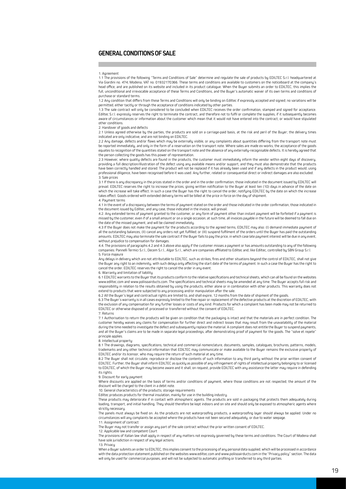### **GENERAL CONDITIONS OF SALE**

1.1 The provisions of the following "Terms and Conditions of Sale" determine and regulate the sale of products by EDILTEC S.r.l. headquartered at Via Giardini no. 474, Modena, VAT no. 01932170366. These terms and conditions are available to customers on the noticeboard at the company's head office, and are published on its website and included in its product catalogue. When the Buyer submits an order to EDILTEC, this implies the full, unconditional and irrevocable acceptance of these Terms and Conditions, and the Buyer's automatic waiver of its own terms and conditions of purchase or standard terms.

1.2 Any condition that differs from these Terms and Conditions will only be binding on Ediltec if expressly accepted and signed; no variations will be permitted, either tacitly or through the acceptance of conditions indicated by other parties.

1.3 The sale contract will only be considered to be concluded when EDILTEC receives the order confirmation, stamped and signed for acceptance. Ediltec S.r.l. expressly reserves the right to terminate the contract, and therefore not to fulfil or complete the supplies, if it subsequently becomes aware of circumstances or information about the customer which mean that it would not have entered into the contract, or would have stipulated other conditions.

#### 2. Handover of goods and defects

2.1 Unless agreed otherwise by the parties, the products are sold on a carriage-paid basis, at the risk and peril of the Buyer; the delivery times indicated are only indicative, and are not binding on EDILTEC.

2.2 Any damage, defects and/or flaws which may be externally visible, or any complaints about quantities differing from the transport note must be reported immediately, and only in the form of a reservation on the transport note. Where sales are made ex-works, the acceptance of the goods equates to recognition of the quantities stated on the transport note and the absence of any externally-recognisable defects. It is hereby agreed that the person collecting the goods has this power of representation.

2.3 However, where quality defects are found in the products, the customer must immediately inform the vendor within eight days of discovery, providing a full description/illustration of the defect using any available means and/or support, and they must also demonstrate that the products have been correctly handled and stored. The product will not be replaced if it has already been used and if any defects in the product would, using professional diligence, have been recognised before it was used. Any further, related or consequential direct or indirect damages are also excluded. 3. Sale prices

3.1 If there is any discrepancy in the prices stated in the order and in the order confirmation, those indicated in the document issued by EDILTEC will prevail. EDILTEC reserves the right to increase the prices, giving written notification to the Buyer at least ten (10) days in advance of the date on<br>which the increase will take effect. In such a case the Buyer has the ri takes effect. Goods ordered with extended delivery terms will be billed at the price in force on the day of shipment. 4. Payment terms

4.1 In the event of a discrepancy between the terms of payment stated on the order and those indicated in the order confirmation, those indicated in the document issued by Ediltec, and any case, those indicated in the invoice, will prevail.

4.2. Any extended terms of payment granted to the customer, or any form of payment other than instant payment will be forfeited if a payment is missed by the customer, even if of a small amount or on a single occasion; at such time, all invoices payable in the future will be deemed to fall due on the date of the missed payment, and will be claimed immediately.

4.3 If the Buyer does not make the payment for the products according to the agreed terms, EDILTEC may also: (I) demand immediate payment of all the outstanding balances; (II) cancel any orders not yet fulfilled; or (III) suspend fulfilment of the orders until the Buyer has paid the outstanding amounts. EDILTEC may also terminate the sale contract if the Buyer fails to pay the price, in which case late payment interest will be due in any event, without prejudice to compensation for damages.

4.4. The provisions of paragraphs 4.2 and 4.3 above also apply if the customer misses a payment or has amounts outstanding to any of the following companies: Pannelli Termici S.r.l., Decem S.r.l., Algor S.r.l., which are companies affiliated to Ediltec and, like Ediltec, controlled by SBN Group S.r.l. 5. Force majeure

Any delays in delivery which are not attributable to EDILTEC, such as strikes, fires and other situations beyond the control of EDILTEC, shall not give the Buyer any right to an indemnity, with such delays only affecting the start date of the terms of payment. In such a case the Buyer has the right to cancel the order. EDILTEC reserves the right to cancel the order in any event.

#### 6. Warranty and limitation of liability

6.1 EDILTEC warrants to the Buyer that its products conform to the relative specifications and technical sheets, which can all be found on the websites www.ediltec.com and www.poliisoairducts.com. The specifications and technical sheets may be amended at any time. The Buyer accepts full risk and responsibility in relation to the results obtained by using the products, either alone or in combination with other products. This warranty does not extend to products that were subjected to any processing and/or manipulation after the sale.<br>6.2 All the Buyer's legal and contractual rights are limited to, and shall expire, 12 months from the date of shipment of the goo

6.3 The Buyer's warranty is in all cases expressly limited to the free repair or replacement of the defective products at the discretion of EDILTEC, with the exclusion of any compensation for any further losses or costs of any kind. Products for which a complaint has been made may not be returned to EDILTEC or otherwise disposed of, processed or transferred without the consent of EDILTEC.

#### 7. Returns

7.1 Authorisation to return the products will be given on condition that the packaging is intact and that the materials are in perfect condition. The customer hereby waives any claims for compensation for further direct and indirect losses that may result from the unavailability of the material during the time needed to investigate the defect and subsequently replace the material. A complaint does not entitle the Buyer to suspend payments, and all the Buyer's claims are to be made in separate legal proceedings, after demonstrating proof of payment for the goods. The "solve et repete" principle applies.

#### 8. Intellectual property

8.1 The drawings, diagrams, specifications, technical and commercial nomenclature, documents, samples, catalogues, brochures, patterns, models trademarks and any other technical information that EDILTEC may communicate or make available to the Buyer remains the exclusive property of EDILTEC and/or its licensor, who may require the return of such material at any time.

8.2 The Buyer shall not circulate, reproduce or disclose the contents of such information to any third party without the prior written consent of EDILTEC. Further, the Buyer shall inform EDILTEC as quickly as possible of any infringement of rights of intellectual property belonging to or licensed to EDILTEC, of which the Buyer may become aware and it shall, on request, provide EDILTEC with any assistance the latter may require in defending its rights.

#### 9. Discount for early payment

Where discounts are applied on the basis of terms and/or conditions of payment, where those conditions are not respected, the amount of the discount will be charged to the client in a debit note.

10. General characteristics of the products; storage requirements

Ediltec produces products for thermal insulation, mainly for use in the building industry.

These products may deteriorate if in contact with atmospheric agents. The products are sold in packaging that protects them adequately during loading, transport, and initial handling. They should therefore be kept indoors and on site and should only be exposed to atmospheric agents where strictly necessary.

The panels must always be fixed on. As the products are not waterproofing products, a waterproofing layer should always be applied. Under no circumstances will any complaints be accepted where the products have not been secured adequately, or due to water seepage. 11. Assignment of contract

The Buyer may not transfer or assign any part of the sale contract without the prior written consent of EDILTEC.

12. Applicable law and competent Court

The provisions of Italian law shall apply in respect of any matters not expressly governed by these terms and conditions. The Court of Modena shall have sole jurisdiction in respect of any legal actions.

13. Privacy

When a Buyer submits an order to EDILTEC, this implies consent to the processing of any personal data supplied, which will be processed in accordance with the data protection statement published on the websites www.ediltec.com and www.poliisoairducts.com in the "Privacy policy" section. The data will only be used for commercial purposes, and will not be subjected to automatic profiling or transferred to any third parties.

<sup>1.</sup> Agreement